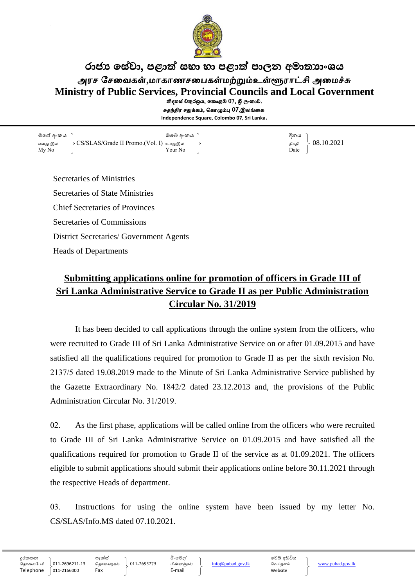

## රාජා සේවා, පළාත් සභා හා පළාත් පාලන අමාතාාංශය அரச சேவைகள்,மாகாணசபைகள்மற்றும்உள்ளூராட்சி அமைச்சு **Ministry of Public Services, Provincial Councils and Local Government** නිදහස් චතුරශුය, කොළඹ 07, ශුී ලංකාව. சுதந்திர சதுக்கம், கொழும்பு  $07$ ,இலங்கை.

**Independence Square, Colombo 07, Sri Lanka.**

මගේ අංකය ඔගේ අංකය දිනය எனது இல  $\begin{array}{c} \text{CSS/SLAS/Grade II} \ \text{Promo. (Vol. I)} \ \text{D} \ \text{log} \ \text{Ny No} \end{array}$ My No Date No. 2 November 2014

Secretaries of Ministries Secretaries of State Ministries Chief Secretaries of Provinces Secretaries of Commissions District Secretaries/ Government Agents Heads of Departments

# **Submitting applications online for promotion of officers in Grade III of Sri Lanka Administrative Service to Grade II as per Public Administration Circular No. 31/2019**

It has been decided to call applications through the online system from the officers, who were recruited to Grade III of Sri Lanka Administrative Service on or after 01.09.2015 and have satisfied all the qualifications required for promotion to Grade II as per the sixth revision No. 2137/5 dated 19.08.2019 made to the Minute of Sri Lanka Administrative Service published by the Gazette Extraordinary No. 1842/2 dated 23.12.2013 and, the provisions of the Public Administration Circular No. 31/2019.

02. As the first phase, applications will be called online from the officers who were recruited to Grade III of Sri Lanka Administrative Service on 01.09.2015 and have satisfied all the qualifications required for promotion to Grade II of the service as at 01.09.2021. The officers eligible to submit applications should submit their applications online before 30.11.2021 through the respective Heads of department.

03. Instructions for using the online system have been issued by my letter No. CS/SLAS/Info.MS dated 07.10.2021.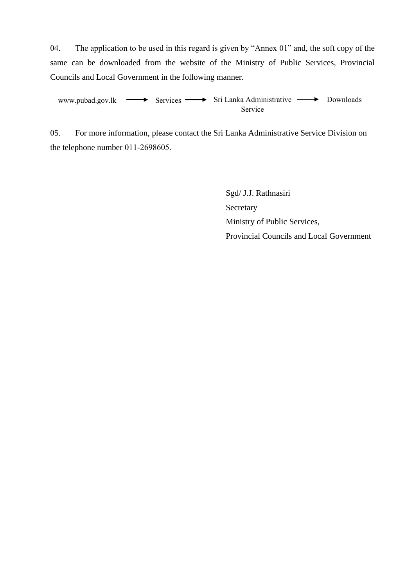04. The application to be used in this regard is given by "Annex 01" and, the soft copy of the same can be downloaded from the website of the Ministry of Public Services, Provincial Councils and Local Government in the following manner.

[www.pubad.gov.lk](file:///H:/LAHITRU%20%20-%20NEW/ANNUAL%20TRANSFER/ANNUAL%20TRA.%202022/01.Web%20Publish%20Ann.Tra%20Circulars/වා.ස්.මා.%202022%20සංශෝධිත%20චක්‍රලේඛ/Grade%20I,II,III%20-%202022%20සංශෝධිත%20ච්‍ක්‍රලේඛ/www.pubad.gov.lk) - Services - Sri Lanka Administrative - Downloads Service

05. For more information, please contact the Sri Lanka Administrative Service Division on the telephone number 011-2698605.

> Sgd/ J.J. Rathnasiri Secretary Ministry of Public Services, Provincial Councils and Local Government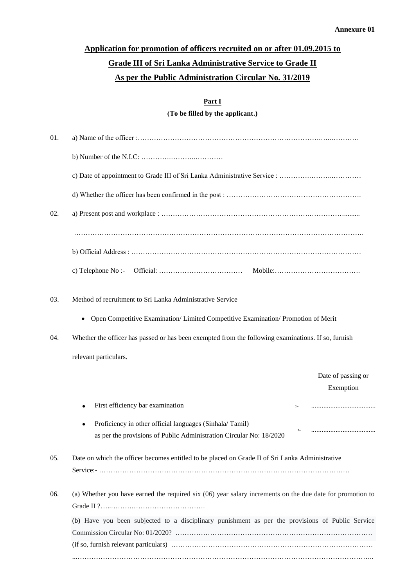# **Application for promotion of officers recruited on or after 01.09.2015 to Grade III of Sri Lanka Administrative Service to Grade II As per the Public Administration Circular No. 31/2019**

#### **Part I**

**(To be filled by the applicant.)**

| 01. |                                                                                                           |
|-----|-----------------------------------------------------------------------------------------------------------|
|     |                                                                                                           |
|     |                                                                                                           |
|     |                                                                                                           |
| 02. |                                                                                                           |
|     |                                                                                                           |
|     |                                                                                                           |
|     | c) Telephone No:-                                                                                         |
| 03. | Method of recruitment to Sri Lanka Administrative Service                                                 |
|     | Open Competitive Examination/ Limited Competitive Examination/ Promotion of Merit<br>$\bullet$            |
| 04. | Whether the officer has passed or has been exempted from the following examinations. If so, furnish       |
|     | relevant particulars.                                                                                     |
|     | Date of passing or                                                                                        |
|     | Exemption                                                                                                 |
|     | First efficiency bar examination<br>$\ddot{\phantom{1}}$                                                  |
|     | Proficiency in other official languages (Sinhala/Tamil)                                                   |
|     | $\sim$<br>as per the provisions of Public Administration Circular No: 18/2020                             |
| 05. | Date on which the officer becomes entitled to be placed on Grade II of Sri Lanka Administrative           |
| 06. | (a) Whether you have earned the required six (06) year salary increments on the due date for promotion to |
|     | (b) Have you been subjected to a disciplinary punishment as per the provisions of Public Service          |
|     |                                                                                                           |
|     |                                                                                                           |
|     |                                                                                                           |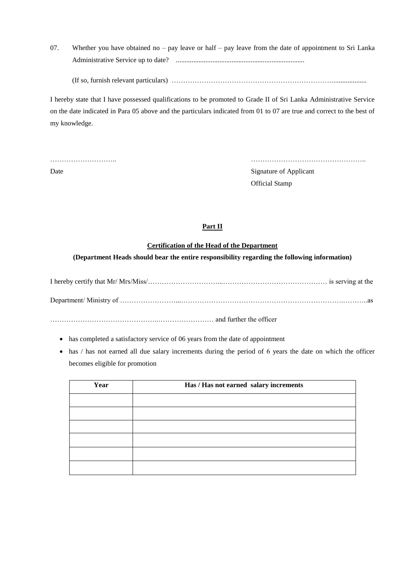07. Whether you have obtained no – pay leave or half – pay leave from the date of appointment to Sri Lanka Administrative Service up to date? ..........................................................................

(If so, furnish relevant particulars) ……………………………………………………………....................

I hereby state that I have possessed qualifications to be promoted to Grade II of Sri Lanka Administrative Service on the date indicated in Para 05 above and the particulars indicated from 01 to 07 are true and correct to the best of my knowledge.

……………………….. ………………………………………….. Date Signature of Applicant Official Stamp

### **Part II**

### **Certification of the Head of the Department**

### **(Department Heads should bear the entire responsibility regarding the following information)**

I hereby certify that Mr/ Mrs/Miss/…………………………...……………………………………… is serving at the

Department/ Ministry of ……………………...…………………………………………………………….………..as

………………………………………..…………………… and further the officer

- has completed a satisfactory service of 06 years from the date of appointment
- has / has not earned all due salary increments during the period of 6 years the date on which the officer becomes eligible for promotion

| Year | Has / Has not earned salary increments |
|------|----------------------------------------|
|      |                                        |
|      |                                        |
|      |                                        |
|      |                                        |
|      |                                        |
|      |                                        |